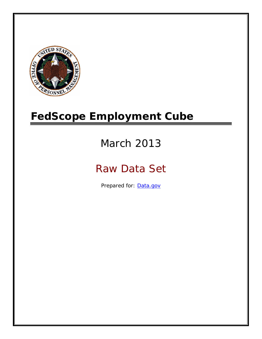

# **FedScope Employment Cube**

# March 2013

# Raw Data Set

Prepared for: [Data.gov](http://www.data.gov/)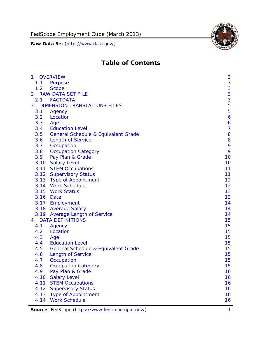

# **Table of Contents**

| $\mathbf{1}$ | <b>OVERVIEW</b>                                | 3              |
|--------------|------------------------------------------------|----------------|
| 1.1          | Purpose                                        | 3              |
| 1.2          | <b>Scope</b>                                   | 3              |
| 2            | <b>RAW DATA SET FILE</b>                       | 3              |
| 2.1          | <b>FACTDATA</b>                                | 3              |
| 3            | <b>DIMENSION TRANSLATIONS FILES</b>            | 5              |
| 3.1          | Agency                                         | 5              |
| 3.2          | Location                                       | 6              |
| 3.3          | Age                                            | 6              |
| 3.4          | <b>Education Level</b>                         | $\overline{7}$ |
| 3.5          | <b>General Schedule &amp; Equivalent Grade</b> | 8              |
| 3.6          | <b>Length of Service</b>                       | 8              |
| 3.7          | Occupation                                     | 9              |
| 3.8          | <b>Occupation Category</b>                     | 9              |
| 3.9          | Pay Plan & Grade                               | 10             |
| 3.10         | <b>Salary Level</b>                            | 10             |
|              | 3.11 STEM Occupations                          | 11             |
|              | 3.12 Supervisory Status                        | 11             |
|              | 3.13 Type of Appointment                       | 12             |
|              | 3.14 Work Schedule                             | 12             |
| 3.15         | <b>Work Status</b>                             | 13             |
|              | 3.16 Date                                      | 13             |
|              | 3.17 Employment                                | 14             |
|              | 3.18 Average Salary                            | 14             |
|              | 3.19 Average Length of Service                 | 14             |
| 4            | <b>DATA DEFINITIONS</b>                        | 15             |
| 4.1          | Agency                                         | 15             |
| 4.2          | Location                                       | 15             |
| 4.3          | Age                                            | 15             |
| 4.4          | <b>Education Level</b>                         | 15             |
| 4.5          | <b>General Schedule &amp; Equivalent Grade</b> | 15             |
| 4.6          | <b>Length of Service</b>                       | 15             |
| 4.7          | Occupation                                     | 15             |
| 4.8          | <b>Occupation Category</b>                     | 15             |
| 4.9          | Pay Plan & Grade                               | 16             |
| 4.10         | <b>Salary Level</b>                            | 16             |
| 4.11         | <b>STEM Occupations</b>                        | 16             |
| 4.12         | <b>Supervisory Status</b>                      | 16             |
| 4.13         | <b>Type of Appointment</b>                     | 16             |
| 4.14         | <b>Work Schedule</b>                           | 16             |

Source: FedScope (https://www.fedscope.opm.gov/) 1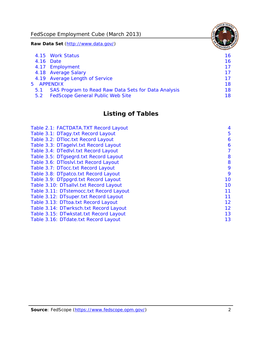FedScope Employment Cube (March 2013)

**Raw Data Set** (http://www.data.gov/)

|               | 4.15 Work Status                                    | 16 |
|---------------|-----------------------------------------------------|----|
|               | 4.16 Date                                           | 16 |
|               | 4.17 Employment                                     | 17 |
|               | 4.18 Average Salary                                 | 17 |
|               | 4.19 Average Length of Service                      | 17 |
|               | 5 APPENDIX                                          | 18 |
| 5.1           | SAS Program to Read Raw Data Sets for Data Analysis | 18 |
| $5.2^{\circ}$ | <b>FedScope General Public Web Site</b>             | 18 |

# **Listing of Tables**

| Table 2.1: FACTDATA.TXT Record Layout   | 4  |
|-----------------------------------------|----|
| Table 3.1: DTagy.txt Record Layout      | 5  |
| Table 3.2: DTloc.txt Record Layout      | 6  |
| Table 3.3: DTagelvl.txt Record Layout   | 6  |
| Table 3.4: DTedlvl.txt Record Layout    | 7  |
| Table 3.5: DTgsegrd.txt Record Layout   | 8  |
| Table 3.6: DTIoslyl.txt Record Layout   | 8  |
| Table 3.7: DTocc.txt Record Layout      | 9  |
| Table 3.8: DTpatco.txt Record Layout    | 9  |
| Table 3.9: DTppgrd.txt Record Layout    | 10 |
| Table 3.10: DTsallvl.txt Record Layout  | 10 |
| Table 3.11: DTstemocc.txt Record Layout | 11 |
| Table 3.12: DTsuper.txt Record Layout   | 11 |
| Table 3.13: DTtoa.txt Record Layout     | 12 |
| Table 3.14: DTwrksch.txt Record Layout  | 12 |
| Table 3.15: DTwkstat.txt Record Layout  | 13 |
| Table 3.16: DTdate.txt Record Layout    | 13 |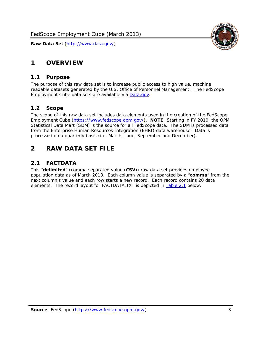

# <span id="page-3-0"></span>**1 OVERVIEW**

#### *1.1 Purpose*

<span id="page-3-1"></span>The purpose of this raw data set is to increase public access to high value, machine readable datasets generated by the U.S. Office of Personnel Management. The FedScope Employment Cube data sets are available via [Data.gov](http://www.data.gov/).

#### <span id="page-3-2"></span>*1.2 Scope*

The scope of this raw data set includes data elements used in the creation of the FedScope Employment Cube [\(https://www.fedscope.opm.gov/\)](https://www.fedscope.opm.gov/). **NOTE**: Starting in FY 2010, the OPM Statistical Data Mart (SDM) is the source for all FedScope data. The SDM is processed data from the Enterprise Human Resources Integration (EHRI) data warehouse. Data is processed on a quarterly basis (i.e. March, June, September and December).

# <span id="page-3-3"></span>**2 RAW DATA SET FILE**

# <span id="page-3-4"></span>*2.1 FACTDATA*

This "**delimited**" (comma separated value (**CSV**)) raw data set provides employee population data as of March 2013. Each column value is separated by a "**comma**" from the next column's value and each row starts a new record. Each record contains 20 data elements. The record layout for FACTDATA.TXT is depicted in [Table 2.1](#page-4-1) below: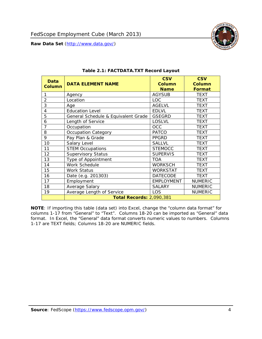

<span id="page-4-1"></span><span id="page-4-0"></span>

| Data<br><b>Column</b> | <b>DATA ELEMENT NAME</b>            | <b>CSV</b><br><b>Column</b><br><b>Name</b> | <b>CSV</b><br><b>Column</b><br>Format |
|-----------------------|-------------------------------------|--------------------------------------------|---------------------------------------|
| 1                     | Agency                              | <b>AGYSUB</b>                              | <b>TEXT</b>                           |
| $\overline{2}$        | Location                            | LOC                                        | <b>TEXT</b>                           |
| 3                     | Age                                 | <b>AGELVL</b>                              | <b>TEXT</b>                           |
| 4                     | <b>Education Level</b>              | <b>EDLVL</b>                               | <b>TEXT</b>                           |
| 5                     | General Schedule & Equivalent Grade | <b>GSEGRD</b>                              | <b>TEXT</b>                           |
| 6                     | Length of Service                   | <b>LOSLVL</b>                              | <b>TEXT</b>                           |
| 7                     | Occupation                          | <b>OCC</b>                                 | <b>TEXT</b>                           |
| 8                     | Occupation Category                 | <b>PATCO</b>                               | <b>TEXT</b>                           |
| 9                     | Pay Plan & Grade                    | <b>PPGRD</b>                               | <b>TEXT</b>                           |
| 10                    | Salary Level                        | <b>SALLVL</b>                              | <b>TEXT</b>                           |
| 11                    | <b>STEM Occupations</b>             | <b>STEMOCC</b>                             | <b>TEXT</b>                           |
| 12                    | <b>Supervisory Status</b>           | <b>SUPERVIS</b>                            | <b>TEXT</b>                           |
| 13                    | Type of Appointment                 | <b>TOA</b>                                 | <b>TEXT</b>                           |
| 14                    | Work Schedule                       | <b>WORKSCH</b>                             | <b>TEXT</b>                           |
| 15                    | <b>Work Status</b>                  | WORKSTAT                                   | <b>TEXT</b>                           |
| 16                    | Date (e.g. 201303)                  | <b>DATECODE</b>                            | <b>TEXT</b>                           |
| 17                    | Employment                          | <b>EMPLOYMENT</b>                          | <b>NUMERIC</b>                        |
| 18                    | Average Salary                      | <b>SALARY</b>                              | <b>NUMERIC</b>                        |
| 19                    | Average Length of Service           | LOS                                        | <b>NUMERIC</b>                        |
|                       | <b>Total Records: 2,090,381</b>     |                                            |                                       |

#### **Table 2.1: FACTDATA.TXT Record Layout**

**NOTE**: If importing this table (data set) into Excel, change the "column data format" for columns 1-17 from "General" to "Text". Columns 18-20 can be imported as "General" data format. In Excel, the "General" data format converts numeric values to numbers. Columns 1-17 are TEXT fields; Columns 18-20 are NUMERIC fields.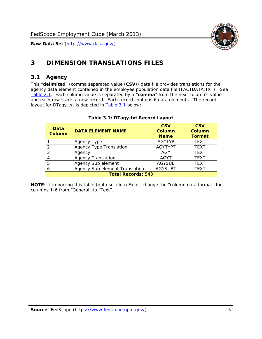

# <span id="page-5-0"></span>**3 DIMENSION TRANSLATIONS FILES**

### <span id="page-5-1"></span>*3.1 Agency*

<span id="page-5-3"></span><span id="page-5-2"></span>This "**delimited**" (comma separated value (**CSV**)) data file provides translations for the agency data element contained in the employee population data file (FACTDATA.TXT). See [Table 2.1.](#page-4-1) Each column value is separated by a "**comma**" from the next column's value and each row starts a new record. Each record contains 6 data elements. The record layout for DTagy.txt is depicted in **Table 3.1** below:

| Data<br><b>Column</b>     | <b>DATA ELEMENT NAME</b>       | <b>CSV</b><br><b>Column</b><br><b>Name</b> | <b>CSV</b><br>Column<br><b>Format</b> |
|---------------------------|--------------------------------|--------------------------------------------|---------------------------------------|
|                           | Agency Type                    | <b>AGYTYP</b>                              | <b>TEXT</b>                           |
| 2                         | <b>Agency Type Translation</b> | <b>AGYTYPT</b>                             | <b>TEXT</b>                           |
| 3                         | Agency                         | AGY                                        | <b>TEXT</b>                           |
|                           | <b>Agency Translation</b>      | <b>AGYT</b>                                | <b>TEXT</b>                           |
| -5                        | Agency Sub element             | <b>AGYSUB</b>                              | <b>TEXT</b>                           |
|                           | Agency Sub element Translation | <b>AGYSUBT</b>                             | <b>TEXT</b>                           |
| <b>Total Records: 543</b> |                                |                                            |                                       |

#### **Table 3.1: DTagy.txt Record Layout**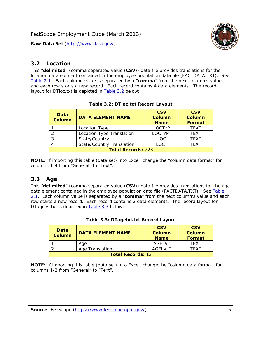

## <span id="page-6-0"></span>*3.2 Location*

<span id="page-6-4"></span><span id="page-6-2"></span>This "**delimited**" (comma separated value (**CSV**)) data file provides translations for the location data element contained in the employee population data file (FACTDATA.TXT). See [Table 2.1.](#page-4-1) Each column value is separated by a "**comma**" from the next column's value and each row starts a new record. Each record contains 4 data elements. The record layout for DTloc.txt is depicted in [Table 3.2](#page-6-4) below:

| Data<br><b>Column</b>     | <b>DATA ELEMENT NAME</b>         | <b>CSV</b><br>Column<br><b>Name</b> | <b>CSV</b><br><b>Column</b><br><b>Format</b> |
|---------------------------|----------------------------------|-------------------------------------|----------------------------------------------|
|                           | Location Type                    | <b>LOCTYP</b>                       | <b>TEXT</b>                                  |
|                           | Location Type Translation        | <b>LOCTYPT</b>                      | <b>TFXT</b>                                  |
| ⌒                         | State/Country                    | LOC.                                | <b>TEXT</b>                                  |
|                           | <b>State/Country Translation</b> | LOCT                                | <b>TFXT</b>                                  |
| <b>Total Records: 223</b> |                                  |                                     |                                              |

#### **Table 3.2: DTloc.txt Record Layout**

**NOTE**: If importing this table (data set) into Excel, change the "column data format" for columns 1-4 from "General" to "Text".

#### <span id="page-6-1"></span>*3.3 Age*

<span id="page-6-5"></span><span id="page-6-3"></span>This "**delimited**" (comma separated value (**CSV**)) data file provides translations for the age data element contained in the employee population data file (FACTDATA.TXT). See [Table](#page-4-1) [2.1](#page-4-1). Each column value is separated by a "**comma**" from the next column's value and each row starts a new record. Each record contains 2 data elements. The record layout for DTagelvl.txt is depicted in **[Table 3.3](#page-6-5)** below:

| Data<br><b>Column</b>    | <b>DATA ELEMENT NAME</b> | <b>CSV</b><br>Column<br><b>Name</b> | <b>CSV</b><br>Column<br>Format |
|--------------------------|--------------------------|-------------------------------------|--------------------------------|
|                          | Aae                      | AGFI VI                             | TFXT                           |
|                          | Age Translation          | AGFI VI T                           | TFXT                           |
| <b>Total Records: 12</b> |                          |                                     |                                |

#### **Table 3.3: DTagelvl.txt Record Layout**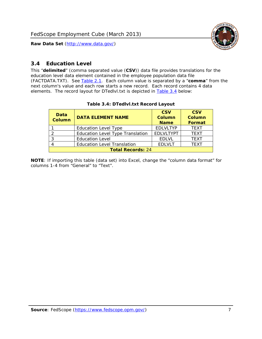

## <span id="page-7-0"></span>*3.4 Education Level*

<span id="page-7-2"></span><span id="page-7-1"></span>This "**delimited**" (comma separated value (**CSV**)) data file provides translations for the education level data element contained in the employee population data file (FACTDATA.TXT). See [Table 2.1](#page-4-1). Each column value is separated by a "**comma**" from the next column's value and each row starts a new record. Each record contains 4 data elements. The record layout for DTedlvl.txt is depicted in [Table 3.4](#page-7-2) below:

| Data<br><b>Column</b>    | <b>DATA ELEMENT NAME</b>           | <b>CSV</b><br><b>Column</b><br><b>Name</b> | <b>CSV</b><br><b>Column</b><br><b>Format</b> |
|--------------------------|------------------------------------|--------------------------------------------|----------------------------------------------|
|                          | <b>Education Level Type</b>        | <b>EDLVLTYP</b>                            | <b>TEXT</b>                                  |
|                          | Education Level Type Translation   | <b>EDLVLTYPT</b>                           | <b>TEXT</b>                                  |
|                          | <b>Education Level</b>             | <b>EDLVL</b>                               | <b>TEXT</b>                                  |
|                          | <b>Education Level Translation</b> | <b>EDLVLT</b>                              | <b>TEXT</b>                                  |
| <b>Total Records: 24</b> |                                    |                                            |                                              |

#### **Table 3.4: DTedlvl.txt Record Layout**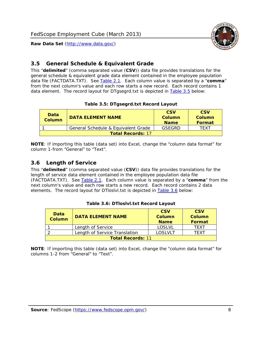

## <span id="page-8-0"></span>*3.5 General Schedule & Equivalent Grade*

This "**delimited**" (comma separated value (**CSV**)) data file provides translations for the general schedule & equivalent grade data element contained in the employee population data file (FACTDATA.TXT). See [Table 2.1](#page-4-1). Each column value is separated by a "**comma**" from the next column's value and each row starts a new record. Each record contains 1 data element. The record layout for DTgsegrd.txt is depicted in [Table 3.5](#page-8-4) below:

#### **Table 3.5: DTgsegrd.txt Record Layout**

<span id="page-8-4"></span><span id="page-8-2"></span>

| Data<br>Column           | DATA FI FMFNT NAMF                  | <b>CSV</b><br>Column<br><b>Name</b> | <b>CSV</b><br>Column<br>Format |
|--------------------------|-------------------------------------|-------------------------------------|--------------------------------|
|                          | General Schedule & Equivalent Grade | GSEGRD                              | TFXT                           |
| <b>Total Records: 17</b> |                                     |                                     |                                |

**NOTE**: If importing this table (data set) into Excel, change the "column data format" for column 1-from "General" to "Text".

#### <span id="page-8-1"></span>*3.6 Length of Service*

<span id="page-8-5"></span>This "**delimited**" (comma separated value (**CSV**)) data file provides translations for the length of service data element contained in the employee population data file (FACTDATA.TXT). See [Table 2.1](#page-4-1). Each column value is separated by a "**comma**" from the next column's value and each row starts a new record. Each record contains 2 data elements. The record layout for DTloslvl.txt is depicted in [Table 3.6](#page-8-5) below:

<span id="page-8-3"></span>

| Data<br><b>Column</b>    | <b>DATA ELEMENT NAME</b>      | <b>CSV</b><br><b>Column</b><br><b>Name</b> | <b>CSV</b><br>Column<br>Format |
|--------------------------|-------------------------------|--------------------------------------------|--------------------------------|
|                          | Length of Service             | LOSLVL                                     | TFXT                           |
|                          | Length of Service Translation | LOSI VLT                                   | TFXT                           |
| <b>Total Records: 11</b> |                               |                                            |                                |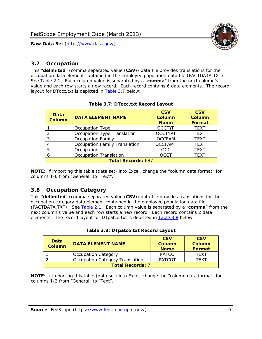

### <span id="page-9-0"></span>*3.7 Occupation*

<span id="page-9-4"></span>This "**delimited**" (comma separated value (**CSV**)) data file provides translations for the occupation data element contained in the employee population data file (FACTDATA.TXT). See [Table 2.1](#page-4-1). Each column value is separated by a "**comma**" from the next column's value and each row starts a new record. Each record contains 6 data elements. The record layout for DTocc.txt is depicted in [Table 3.7](#page-9-4) below:

<span id="page-9-2"></span>

| Data<br><b>Column</b>     | <b>DATA ELEMENT NAME</b>             | <b>CSV</b><br>Column<br><b>Name</b> | <b>CSV</b><br><b>Column</b><br><b>Format</b> |
|---------------------------|--------------------------------------|-------------------------------------|----------------------------------------------|
|                           | Occupation Type                      | <b>OCCTYP</b>                       | <b>TEXT</b>                                  |
|                           | Occupation Type Translation          | <b>OCCTYPT</b>                      | <b>TEXT</b>                                  |
| ာ                         | <b>Occupation Family</b>             | <b>OCCFAM</b>                       | <b>TEXT</b>                                  |
|                           | <b>Occupation Family Translation</b> | <b>OCCFAMT</b>                      | <b>TEXT</b>                                  |
| 5                         | Occupation                           | <b>OCC</b>                          | <b>TEXT</b>                                  |
|                           | <b>Occupation Translation</b>        | <b>OCCT</b>                         | <b>TEXT</b>                                  |
| <b>Total Records: 687</b> |                                      |                                     |                                              |

#### **Table 3.7: DTocc.txt Record Layout**

**NOTE**: If importing this table (data set) into Excel, change the "column data format" for columns 1-6 from "General" to "Text".

#### <span id="page-9-1"></span>*3.8 Occupation Category*

<span id="page-9-5"></span>This "**delimited**" (comma separated value (**CSV**)) data file provides translations for the occupation category data element contained in the employee population data file (FACTDATA.TXT). See [Table 2.1](#page-4-1). Each column value is separated by a "**comma**" from the next column's value and each row starts a new record. Each record contains 2 data elements. The record layout for DTpatco.txt is depicted in [Table 3.8](#page-9-5) below:

<span id="page-9-3"></span>

| Data<br><b>Column</b>   | <b>DATA ELEMENT NAME</b>        | <b>CSV</b><br>Column<br><b>Name</b> | <b>CSV</b><br>Column<br>Format |
|-------------------------|---------------------------------|-------------------------------------|--------------------------------|
|                         | <b>Occupation Category</b>      | <b>PATCO</b>                        | <b>TFXT</b>                    |
|                         | Occupation Category Translation | <b>PATCOT</b>                       | TFXT                           |
| <b>Total Records: 7</b> |                                 |                                     |                                |

|  |  | Table 3.8: DTpatco.txt Record Layout |  |  |
|--|--|--------------------------------------|--|--|
|--|--|--------------------------------------|--|--|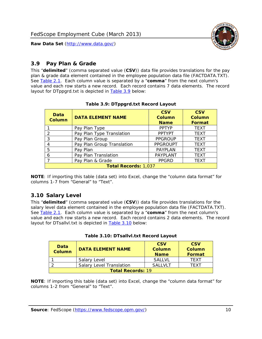

## <span id="page-10-0"></span>*3.9 Pay Plan & Grade*

<span id="page-10-4"></span>This "**delimited**" (comma separated value (**CSV**)) data file provides translations for the pay plan & grade data element contained in the employee population data file (FACTDATA.TXT). See [Table 2.1](#page-4-1). Each column value is separated by a "**comma**" from the next column's value and each row starts a new record. Each record contains 7 data elements. The record layout for DTppgrd.txt is depicted in **Table 3.9** below:

<span id="page-10-2"></span>

| Data<br><b>Column</b>       | <b>DATA ELEMENT NAME</b>   | <b>CSV</b><br>Column<br><b>Name</b> | <b>CSV</b><br><b>Column</b><br><b>Format</b> |  |
|-----------------------------|----------------------------|-------------------------------------|----------------------------------------------|--|
|                             | Pay Plan Type              | <b>PPTYP</b>                        | <b>TEXT</b>                                  |  |
| $\mathcal{P}$               | Pay Plan Type Translation  | <b>PPTYPT</b>                       | <b>TEXT</b>                                  |  |
| 3                           | Pay Plan Group             | <b>PPGROUP</b>                      | <b>TEXT</b>                                  |  |
| 4                           | Pay Plan Group Translation | <b>PPGROUPT</b>                     | <b>TEXT</b>                                  |  |
| 5                           | Pay Plan                   | <b>PAYPLAN</b>                      | <b>TEXT</b>                                  |  |
| 6                           | Pay Plan Translation       | PAYPLANT                            | <b>TEXT</b>                                  |  |
|                             | Pay Plan & Grade           | <b>PPGRD</b>                        | <b>TEXT</b>                                  |  |
| <b>Total Records: 1,037</b> |                            |                                     |                                              |  |

#### **Table 3.9: DTppgrd.txt Record Layout**

**NOTE**: If importing this table (data set) into Excel, change the "column data format" for columns 1-7 from "General" to "Text".

# <span id="page-10-1"></span>*3.10 Salary Level*

<span id="page-10-5"></span><span id="page-10-3"></span>This "**delimited**" (comma separated value (**CSV**)) data file provides translations for the salary level data element contained in the employee population data file (FACTDATA.TXT). See [Table 2.1](#page-4-1). Each column value is separated by a "**comma**" from the next column's value and each row starts a new record. Each record contains 2 data elements. The record layout for DTsallvl.txt is depicted in [Table 3.10](#page-10-5) below:

| <b>Data</b><br>Column    | <b>DATA ELEMENT NAME</b>        | <b>CSV</b><br>Column<br><b>Name</b> | <b>CSV</b><br>Column<br><b>Format</b> |
|--------------------------|---------------------------------|-------------------------------------|---------------------------------------|
|                          | Salary Level                    | <b>SALLVL</b>                       | TFXT                                  |
|                          | <b>Salary Level Translation</b> | SAI I VI T                          | TEXT                                  |
| <b>Total Records: 19</b> |                                 |                                     |                                       |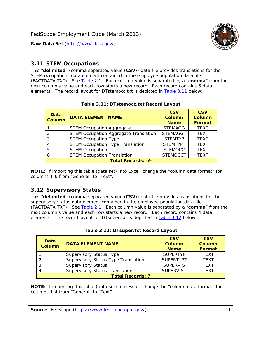

### <span id="page-11-0"></span>*3.11 STEM Occupations*

<span id="page-11-4"></span>This "**delimited**" (comma separated value (**CSV**)) data file provides translations for the STEM occupations data element contained in the employee population data file (FACTDATA.TXT). See [Table 2.1](#page-4-1). Each column value is separated by a "**comma**" from the next column's value and each row starts a new record. Each record contains 6 data elements. The record layout for DTstemocc.txt is depicted in [Table 3.11](#page-11-4) below:

<span id="page-11-2"></span>

| <b>Data</b><br><b>Column</b> | <b>DATA ELEMENT NAME</b>                     | <b>CSV</b><br><b>Column</b><br><b>Name</b> | <b>CSV</b><br><b>Column</b><br>Format |
|------------------------------|----------------------------------------------|--------------------------------------------|---------------------------------------|
|                              | <b>STEM Occupation Aggregate</b>             | <b>STEMAGG</b>                             | <b>TEXT</b>                           |
|                              | <b>STEM Occupation Aggregate Translation</b> | <b>STEMAGGT</b>                            | <b>TEXT</b>                           |
| 3                            | <b>STEM Occupation Type</b>                  | <b>STEMTYP</b>                             | <b>TFXT</b>                           |
|                              | <b>STEM Occupation Type Translation</b>      | <b>STEMTYPT</b>                            | <b>TEXT</b>                           |
| 5                            | <b>STEM Occupation</b>                       | <b>STEMOCC</b>                             | <b>TEXT</b>                           |
|                              | <b>STEM Occupation Translation</b>           | <b>STEMOCCT</b>                            | <b>TEXT</b>                           |
| <b>Total Records: 69</b>     |                                              |                                            |                                       |

#### **Table 3.11: DTstemocc.txt Record Layout**

**NOTE**: If importing this table (data set) into Excel, change the "column data format" for columns 1-6 from "General" to "Text".

# <span id="page-11-1"></span>*3.12 Supervisory Status*

This "**delimited**" (comma separated value (**CSV**)) data file provides translations for the supervisory status data element contained in the employee population data file (FACTDATA.TXT). See [Table 2.1](#page-4-1). Each column value is separated by a "**comma**" from the next column's value and each row starts a new record. Each record contains 4 data elements. The record layout for DTsuper.txt is depicted in [Table 3.12](#page-11-5) below:

<span id="page-11-5"></span><span id="page-11-3"></span>

| Data<br><b>Column</b>   | <b>DATA ELEMENT NAME</b>              | <b>CSV</b><br>Column<br><b>Name</b> | <b>CSV</b><br><b>Column</b><br>Format |  |
|-------------------------|---------------------------------------|-------------------------------------|---------------------------------------|--|
|                         | <b>Supervisory Status Type</b>        | <b>SUPFRTYP</b>                     | <b>TEXT</b>                           |  |
|                         | Supervisory Status Type Translation   | <b>SUPERTYPT</b>                    | <b>TEXT</b>                           |  |
|                         | <b>Supervisory Status</b>             | <b>SUPERVIS</b>                     | <b>TEXT</b>                           |  |
|                         | <b>Supervisory Status Translation</b> | <b>SUPERVIST</b>                    | <b>TEXT</b>                           |  |
| <b>Total Records: 7</b> |                                       |                                     |                                       |  |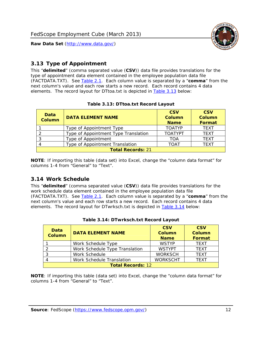

# <span id="page-12-0"></span>*3.13 Type of Appointment*

This "**delimited**" (comma separated value (**CSV**)) data file provides translations for the type of appointment data element contained in the employee population data file (FACTDATA.TXT). See [Table 2.1](#page-4-1). Each column value is separated by a "**comma**" from the next column's value and each row starts a new record. Each record contains 4 data elements. The record layout for DTtoa.txt is depicted in [Table 3.13](#page-12-4) below:

<span id="page-12-4"></span><span id="page-12-2"></span>

| Data<br><b>Column</b>    | <b>DATA ELEMENT NAME</b>             | <b>CSV</b><br><b>Column</b><br><b>Name</b> | <b>CSV</b><br><b>Column</b><br>Format |
|--------------------------|--------------------------------------|--------------------------------------------|---------------------------------------|
|                          | Type of Appointment Type             | <b>TOATYP</b>                              | <b>TEXT</b>                           |
|                          | Type of Appointment Type Translation | <b>TOATYPT</b>                             | <b>TEXT</b>                           |
|                          | Type of Appointment                  | TOA                                        | <b>TEXT</b>                           |
|                          | Type of Appointment Translation      | TOAT                                       | <b>TFXT</b>                           |
| <b>Total Records: 21</b> |                                      |                                            |                                       |

#### **Table 3.13: DTtoa.txt Record Layout**

**NOTE**: If importing this table (data set) into Excel, change the "column data format" for columns 1-4 from "General" to "Text".

#### <span id="page-12-1"></span>*3.14 Work Schedule*

<span id="page-12-5"></span>This "**delimited**" (comma separated value (**CSV**)) data file provides translations for the work schedule data element contained in the employee population data file (FACTDATA.TXT). See [Table 2.1](#page-4-1). Each column value is separated by a "**comma**" from the next column's value and each row starts a new record. Each record contains 4 data elements. The record layout for DTwrksch.txt is depicted in [Table 3.14](#page-12-5) below:

<span id="page-12-3"></span>

| Data<br>Column           | <b>DATA ELEMENT NAME</b>       | <b>CSV</b><br><b>Column</b><br><b>Name</b> | <b>CSV</b><br>Column<br>Format |
|--------------------------|--------------------------------|--------------------------------------------|--------------------------------|
|                          | Work Schedule Type             | <b>WSTYP</b>                               | <b>TEXT</b>                    |
| 2                        | Work Schedule Type Translation | <b>WSTYPT</b>                              | <b>TFXT</b>                    |
| 3                        | Work Schedule                  | <b>WORKSCH</b>                             | <b>TFXT</b>                    |
|                          | Work Schedule Translation      | <b>WORKSCHT</b>                            | <b>TFXT</b>                    |
| <b>Total Records: 12</b> |                                |                                            |                                |

| Table 3.14: DTwrksch.txt Record Layout |
|----------------------------------------|
|----------------------------------------|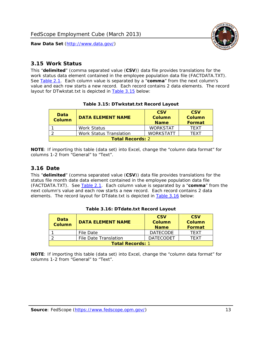

#### <span id="page-13-0"></span>*3.15 Work Status*

<span id="page-13-4"></span><span id="page-13-2"></span>This "**delimited**" (comma separated value (**CSV**)) data file provides translations for the work status data element contained in the employee population data file (FACTDATA.TXT). See [Table 2.1](#page-4-1). Each column value is separated by a "**comma**" from the next column's value and each row starts a new record. Each record contains 2 data elements. The record layout for DTwkstat.txt is depicted in [Table 3.15](#page-13-4) below:

| Data<br><b>Column</b>   | <b>DATA ELEMENT NAME</b>       | <b>CSV</b><br>Column<br><b>Name</b> | <b>CSV</b><br>Column<br>Format |
|-------------------------|--------------------------------|-------------------------------------|--------------------------------|
|                         | Work Status                    | <b>WORKSTAT</b>                     | TFXT                           |
|                         | <b>Work Status Translation</b> | <b>WORKSTATT</b>                    | TFXT                           |
| <b>Total Records: 2</b> |                                |                                     |                                |

#### **Table 3.15: DTwkstat.txt Record Layout**

**NOTE**: If importing this table (data set) into Excel, change the "column data format" for columns 1-2 from "General" to "Text".

#### <span id="page-13-1"></span>*3.16 Date*

<span id="page-13-5"></span><span id="page-13-3"></span>This "**delimited**" (comma separated value (**CSV**)) data file provides translations for the status file month date data element contained in the employee population data file (FACTDATA.TXT). See [Table 2.1](#page-4-1). Each column value is separated by a "**comma**" from the next column's value and each row starts a new record. Each record contains 2 data elements. The record layout for DTdate.txt is depicted in [Table 3.16](#page-13-5) below:

| Data<br><b>Column</b>   | <b>DATA ELEMENT NAME</b> | <b>CSV</b><br>Column<br><b>Name</b> | <b>CSV</b><br>Column<br><b>Format</b> |
|-------------------------|--------------------------|-------------------------------------|---------------------------------------|
|                         | File Date                | <b>DATECODE</b>                     | TFXT                                  |
|                         | File Date Translation    | <b>DATECODET</b>                    | TFXT                                  |
| <b>Total Records: 1</b> |                          |                                     |                                       |

**Table 3.16: DTdate.txt Record Layout**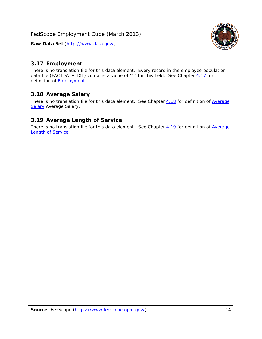<span id="page-14-0"></span>

There is no translation file for this data element. Every record in the employee population data file (FACTDATA.TXT) contains a value of "1" for this field. See Chapter [4.17](#page-16-8) for definition of **Employment**.

#### <span id="page-14-1"></span>*3.18 Average Salary*

There is no translation file for this data element. See Chapter [4.18](#page-17-1) for definition of [Average](#page-17-1) **[Salary](#page-17-1) [Average Salary.](#page-17-1)** 

#### <span id="page-14-2"></span>*3.19 Average Length of Service*

There is no translation file for this data element. See Chapter [4.19](#page-17-2) for definition of [Average](#page-17-2) Length of Service

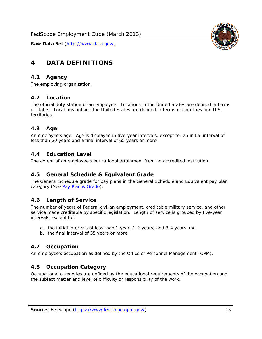

# <span id="page-15-0"></span>**4 DATA DEFINITIONS**

#### <span id="page-15-1"></span>*4.1 Agency*

The employing organization.

#### <span id="page-15-2"></span>*4.2 Location*

The official duty station of an employee. Locations in the United States are defined in terms of states. Locations outside the United States are defined in terms of countries and U.S. territories.

#### <span id="page-15-3"></span>*4.3 Age*

An employee's age. Age is displayed in five-year intervals, except for an initial interval of less than 20 years and a final interval of 65 years or more.

#### <span id="page-15-4"></span>*4.4 Education Level*

The extent of an employee's educational attainment from an accredited institution.

#### <span id="page-15-5"></span>*4.5 General Schedule & Equivalent Grade*

The General Schedule grade for pay plans in the General Schedule and Equivalent pay plan category (See [Pay Plan & Grade](#page-16-0)).

#### <span id="page-15-6"></span>*4.6 Length of Service*

The number of years of Federal civilian employment, creditable military service, and other service made creditable by specific legislation. Length of service is grouped by five-year intervals, except for:

- a. the initial intervals of less than 1 year, 1-2 years, and 3-4 years and
- b. the final interval of 35 years or more.

#### <span id="page-15-7"></span>*4.7 Occupation*

An employee's occupation as defined by the Office of Personnel Management (OPM).

#### <span id="page-15-8"></span>*4.8 Occupation Category*

Occupational categories are defined by the educational requirements of the occupation and the subject matter and level of difficulty or responsibility of the work.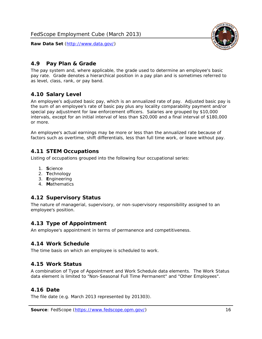

### <span id="page-16-0"></span>*4.9 Pay Plan & Grade*

The pay system and, where applicable, the grade used to determine an employee's basic pay rate. Grade denotes a hierarchical position in a pay plan and is sometimes referred to as level, class, rank, or pay band.

## <span id="page-16-1"></span>*4.10 Salary Level*

An employee's adjusted basic pay, which is an annualized rate of pay. Adjusted basic pay is the sum of an employee's rate of basic pay plus any locality comparability payment and/or special pay adjustment for law enforcement officers. Salaries are grouped by \$10,000 intervals, except for an initial interval of less than \$20,000 and a final interval of \$180,000 or more.

An employee's actual earnings may be more or less than the annualized rate because of factors such as overtime, shift differentials, less than full time work, or leave without pay.

#### <span id="page-16-2"></span>*4.11 STEM Occupations*

Listing of occupations grouped into the following four occupational series:

- 1. **S**cience
- 2. **T**echnology
- 3. **E**ngineering
- 4. **M**athematics

#### <span id="page-16-3"></span>*4.12 Supervisory Status*

The nature of managerial, supervisory, or non-supervisory responsibility assigned to an employee's position.

#### <span id="page-16-4"></span>*4.13 Type of Appointment*

An employee's appointment in terms of permanence and competitiveness.

#### <span id="page-16-5"></span>*4.14 Work Schedule*

The time basis on which an employee is scheduled to work.

#### <span id="page-16-6"></span>*4.15 Work Status*

A combination of Type of Appointment and Work Schedule data elements. The Work Status data element is limited to "Non-Seasonal Full Time Permanent" and "Other Employees".

#### <span id="page-16-7"></span>*4.16 Date*

<span id="page-16-8"></span>The file date (e.g. March 2013 represented by 201303).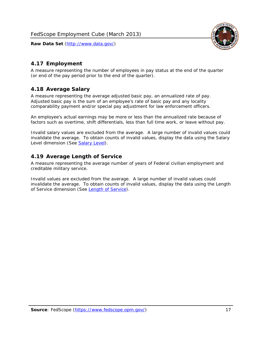

# <span id="page-17-0"></span>*4.17 Employment*

A measure representing the number of employees in pay status at the end of the quarter (or end of the pay period prior to the end of the quarter).

## <span id="page-17-1"></span>*4.18 Average Salary*

A measure representing the average adjusted basic pay, an annualized rate of pay. Adjusted basic pay is the sum of an employee's rate of basic pay and any locality comparability payment and/or special pay adjustment for law enforcement officers.

An employee's actual earnings may be more or less than the annualized rate because of factors such as overtime, shift differentials, less than full time work, or leave without pay.

Invalid salary values are excluded from the average. A large number of invalid values could invalidate the average. To obtain counts of invalid values, display the data using the Salary Level dimension (See [Salary Level\)](#page-16-1).

## <span id="page-17-2"></span>*4.19 Average Length of Service*

A measure representing the average number of years of Federal civilian employment and creditable military service.

Invalid values are excluded from the average. A large number of invalid values could invalidate the average. To obtain counts of invalid values, display the data using the Length of Service dimension (See [Length of Service](#page-15-6)).